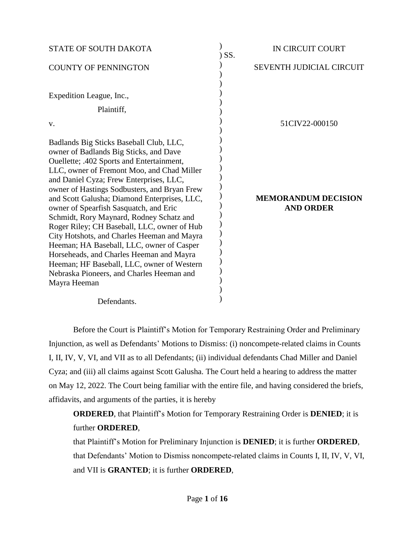| <b>STATE OF SOUTH DAKOTA</b>                                                                                                                                                                                                                                                                                                                                                                                                                                                                                                                                                                                                                                                                                    | SS. | <b>IN CIRCUIT COURT</b>                        |
|-----------------------------------------------------------------------------------------------------------------------------------------------------------------------------------------------------------------------------------------------------------------------------------------------------------------------------------------------------------------------------------------------------------------------------------------------------------------------------------------------------------------------------------------------------------------------------------------------------------------------------------------------------------------------------------------------------------------|-----|------------------------------------------------|
| <b>COUNTY OF PENNINGTON</b>                                                                                                                                                                                                                                                                                                                                                                                                                                                                                                                                                                                                                                                                                     |     | <b>SEVENTH JUDICIAL CIRCUIT</b>                |
| Expedition League, Inc.,<br>Plaintiff,<br>V.                                                                                                                                                                                                                                                                                                                                                                                                                                                                                                                                                                                                                                                                    |     | 51CIV22-000150                                 |
| Badlands Big Sticks Baseball Club, LLC,<br>owner of Badlands Big Sticks, and Dave<br>Ouellette; .402 Sports and Entertainment,<br>LLC, owner of Fremont Moo, and Chad Miller<br>and Daniel Cyza; Frew Enterprises, LLC,<br>owner of Hastings Sodbusters, and Bryan Frew<br>and Scott Galusha; Diamond Enterprises, LLC,<br>owner of Spearfish Sasquatch, and Eric<br>Schmidt, Rory Maynard, Rodney Schatz and<br>Roger Riley; CH Baseball, LLC, owner of Hub<br>City Hotshots, and Charles Heeman and Mayra<br>Heeman; HA Baseball, LLC, owner of Casper<br>Horseheads, and Charles Heeman and Mayra<br>Heeman; HF Baseball, LLC, owner of Western<br>Nebraska Pioneers, and Charles Heeman and<br>Mayra Heeman |     | <b>MEMORANDUM DECISION</b><br><b>AND ORDER</b> |
| Defendants.                                                                                                                                                                                                                                                                                                                                                                                                                                                                                                                                                                                                                                                                                                     |     |                                                |

Before the Court is Plaintiff's Motion for Temporary Restraining Order and Preliminary Injunction, as well as Defendants' Motions to Dismiss: (i) noncompete-related claims in Counts I, II, IV, V, VI, and VII as to all Defendants; (ii) individual defendants Chad Miller and Daniel Cyza; and (iii) all claims against Scott Galusha. The Court held a hearing to address the matter on May 12, 2022. The Court being familiar with the entire file, and having considered the briefs, affidavits, and arguments of the parties, it is hereby

**ORDERED**, that Plaintiff's Motion for Temporary Restraining Order is **DENIED**; it is further **ORDERED**,

that Plaintiff's Motion for Preliminary Injunction is **DENIED**; it is further **ORDERED**, that Defendants' Motion to Dismiss noncompete-related claims in Counts I, II, IV, V, VI, and VII is **GRANTED**; it is further **ORDERED**,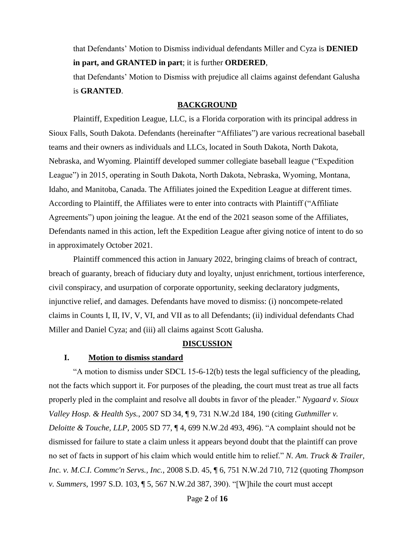that Defendants' Motion to Dismiss individual defendants Miller and Cyza is **DENIED in part, and GRANTED in part**; it is further **ORDERED**,

that Defendants' Motion to Dismiss with prejudice all claims against defendant Galusha is **GRANTED**.

#### **BACKGROUND**

Plaintiff, Expedition League, LLC, is a Florida corporation with its principal address in Sioux Falls, South Dakota. Defendants (hereinafter "Affiliates") are various recreational baseball teams and their owners as individuals and LLCs, located in South Dakota, North Dakota, Nebraska, and Wyoming. Plaintiff developed summer collegiate baseball league ("Expedition League") in 2015, operating in South Dakota, North Dakota, Nebraska, Wyoming, Montana, Idaho, and Manitoba, Canada. The Affiliates joined the Expedition League at different times. According to Plaintiff, the Affiliates were to enter into contracts with Plaintiff ("Affiliate Agreements") upon joining the league. At the end of the 2021 season some of the Affiliates, Defendants named in this action, left the Expedition League after giving notice of intent to do so in approximately October 2021.

Plaintiff commenced this action in January 2022, bringing claims of breach of contract, breach of guaranty, breach of fiduciary duty and loyalty, unjust enrichment, tortious interference, civil conspiracy, and usurpation of corporate opportunity, seeking declaratory judgments, injunctive relief, and damages. Defendants have moved to dismiss: (i) noncompete-related claims in Counts I, II, IV, V, VI, and VII as to all Defendants; (ii) individual defendants Chad Miller and Daniel Cyza; and (iii) all claims against Scott Galusha.

#### **DISCUSSION**

#### **I. Motion to dismiss standard**

"A motion to dismiss under SDCL 15-6-12(b) tests the legal sufficiency of the pleading, not the facts which support it. For purposes of the pleading, the court must treat as true all facts properly pled in the complaint and resolve all doubts in favor of the pleader." *Nygaard v. Sioux Valley Hosp. & Health Sys.*, 2007 SD 34, ¶ 9, 731 N.W.2d 184, 190 (citing *Guthmiller v. Deloitte & Touche, LLP, 2005 SD 77,* 14, 699 N.W.2d 493, 496). "A complaint should not be dismissed for failure to state a claim unless it appears beyond doubt that the plaintiff can prove no set of facts in support of his claim which would entitle him to relief." *N. Am. Truck & Trailer, Inc. v. M.C.I. Commc'n Servs., Inc.*, 2008 S.D. 45, ¶ 6, 751 N.W.2d 710, 712 (quoting *Thompson v. Summers*, 1997 S.D. 103, ¶ 5, 567 N.W.2d 387, 390). "[W]hile the court must accept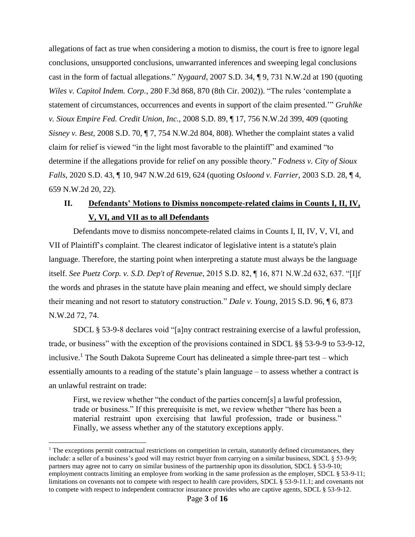allegations of fact as true when considering a motion to dismiss, the court is free to ignore legal conclusions, unsupported conclusions, unwarranted inferences and sweeping legal conclusions cast in the form of factual allegations." *Nygaard*, 2007 S.D. 34, ¶ 9, 731 N.W.2d at 190 (quoting *Wiles v. Capitol Indem. Corp.*, 280 F.3d 868, 870 (8th Cir. 2002)). "The rules 'contemplate a statement of circumstances, occurrences and events in support of the claim presented.'" *Gruhlke v. Sioux Empire Fed. Credit Union, Inc.*, 2008 S.D. 89, ¶ 17, 756 N.W.2d 399, 409 (quoting *Sisney v. Best*, 2008 S.D. 70, ¶ 7, 754 N.W.2d 804, 808). Whether the complaint states a valid claim for relief is viewed "in the light most favorable to the plaintiff" and examined "to determine if the allegations provide for relief on any possible theory." *Fodness v. City of Sioux Falls*, 2020 S.D. 43, ¶ 10, 947 N.W.2d 619, 624 (quoting *Osloond v. Farrier*, 2003 S.D. 28, ¶ 4, 659 N.W.2d 20, 22).

# **II. Defendants' Motions to Dismiss noncompete-related claims in Counts I, II, IV, V, VI, and VII as to all Defendants**

Defendants move to dismiss noncompete-related claims in Counts I, II, IV, V, VI, and VII of Plaintiff's complaint. The clearest indicator of legislative intent is a statute's plain language. Therefore, the starting point when interpreting a statute must always be the language itself. *See Puetz Corp. v. S.D. Dep't of Revenue*, 2015 S.D. 82, ¶ 16, 871 N.W.2d 632, 637. "[I]f the words and phrases in the statute have plain meaning and effect, we should simply declare their meaning and not resort to statutory construction." *Dale v. Young*, 2015 S.D. 96, ¶ 6, 873 N.W.2d 72, 74.

SDCL § 53-9-8 declares void "[a]ny contract restraining exercise of a lawful profession, trade, or business" with the exception of the provisions contained in SDCL §§ 53-9-9 to 53-9-12, inclusive.<sup>1</sup> The South Dakota Supreme Court has delineated a simple three-part test – which essentially amounts to a reading of the statute's plain language – to assess whether a contract is an unlawful restraint on trade:

First, we review whether "the conduct of the parties concern[s] a lawful profession, trade or business." If this prerequisite is met, we review whether "there has been a material restraint upon exercising that lawful profession, trade or business." Finally, we assess whether any of the statutory exceptions apply.

 $\overline{a}$ 

<sup>&</sup>lt;sup>1</sup> The exceptions permit contractual restrictions on competition in certain, statutorily defined circumstances, they include: a seller of a business's good will may restrict buyer from carrying on a similar business, SDCL § 53-9-9; partners may agree not to carry on similar business of the partnership upon its dissolution, SDCL § 53-9-10; employment contracts limiting an employee from working in the same profession as the employer, SDCL § 53-9-11; limitations on covenants not to compete with respect to health care providers, SDCL § 53-9-11.1; and covenants not to compete with respect to independent contractor insurance provides who are captive agents, SDCL § 53-9-12.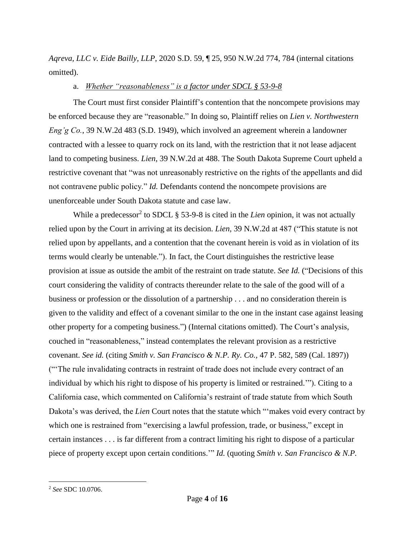*Aqreva, LLC v. Eide Bailly, LLP*, 2020 S.D. 59, ¶ 25, 950 N.W.2d 774, 784 (internal citations omitted).

#### a. *Whether "reasonableness" is a factor under SDCL § 53-9-8*

The Court must first consider Plaintiff's contention that the noncompete provisions may be enforced because they are "reasonable." In doing so, Plaintiff relies on *Lien v. Northwestern Eng'g Co.*, 39 N.W.2d 483 (S.D. 1949), which involved an agreement wherein a landowner contracted with a lessee to quarry rock on its land, with the restriction that it not lease adjacent land to competing business. *Lien*, 39 N.W.2d at 488. The South Dakota Supreme Court upheld a restrictive covenant that "was not unreasonably restrictive on the rights of the appellants and did not contravene public policy." *Id.* Defendants contend the noncompete provisions are unenforceable under South Dakota statute and case law.

While a predecessor<sup>2</sup> to SDCL § 53-9-8 is cited in the *Lien* opinion, it was not actually relied upon by the Court in arriving at its decision. *Lien,* 39 N.W.2d at 487 ("This statute is not relied upon by appellants, and a contention that the covenant herein is void as in violation of its terms would clearly be untenable."). In fact, the Court distinguishes the restrictive lease provision at issue as outside the ambit of the restraint on trade statute. *See Id.* ("Decisions of this court considering the validity of contracts thereunder relate to the sale of the good will of a business or profession or the dissolution of a partnership . . . and no consideration therein is given to the validity and effect of a covenant similar to the one in the instant case against leasing other property for a competing business.") (Internal citations omitted). The Court's analysis, couched in "reasonableness," instead contemplates the relevant provision as a restrictive covenant. *See id.* (citing *Smith v. San Francisco & N.P. Ry. Co.*, 47 P. 582, 589 (Cal. 1897)) ("'The rule invalidating contracts in restraint of trade does not include every contract of an individual by which his right to dispose of his property is limited or restrained.'"). Citing to a California case, which commented on California's restraint of trade statute from which South Dakota's was derived, the *Lien* Court notes that the statute which "'makes void every contract by which one is restrained from "exercising a lawful profession, trade, or business," except in certain instances . . . is far different from a contract limiting his right to dispose of a particular piece of property except upon certain conditions.'" *Id.* (quoting *Smith v. San Francisco & N.P.* 

 $\overline{a}$ 

<sup>2</sup> *See* SDC 10.0706.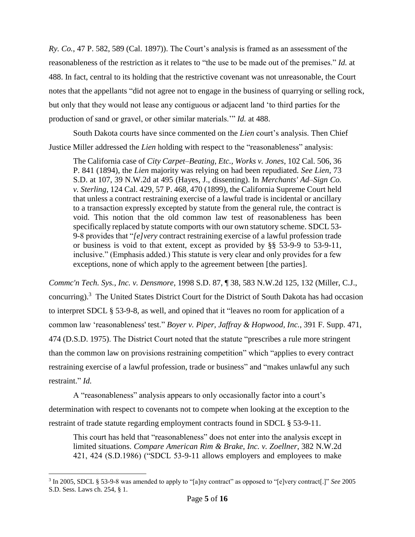*Ry. Co.*, 47 P. 582, 589 (Cal. 1897)). The Court's analysis is framed as an assessment of the reasonableness of the restriction as it relates to "the use to be made out of the premises." *Id.* at 488. In fact, central to its holding that the restrictive covenant was not unreasonable, the Court notes that the appellants "did not agree not to engage in the business of quarrying or selling rock, but only that they would not lease any contiguous or adjacent land 'to third parties for the production of sand or gravel, or other similar materials.'" *Id.* at 488.

South Dakota courts have since commented on the *Lien* court's analysis. Then Chief Justice Miller addressed the *Lien* holding with respect to the "reasonableness" analysis:

The California case of *City Carpet–Beating, Etc., Works v. Jones*, 102 Cal. 506, 36 P. 841 (1894), the *Lien* majority was relying on had been repudiated. *See Lien*, 73 S.D. at 107, 39 N.W.2d at 495 (Hayes, J., dissenting). In *Merchants' Ad–Sign Co. v. Sterling*, 124 Cal. 429, 57 P. 468, 470 (1899), the California Supreme Court held that unless a contract restraining exercise of a lawful trade is incidental or ancillary to a transaction expressly excepted by statute from the general rule, the contract is void. This notion that the old common law test of reasonableness has been specifically replaced by statute comports with our own statutory scheme. SDCL 53- 9-8 provides that "*[e]very* contract restraining exercise of a lawful profession trade or business is void to that extent, except as provided by §§ 53-9-9 to 53-9-11, inclusive." (Emphasis added.) This statute is very clear and only provides for a few exceptions, none of which apply to the agreement between [the parties].

*Commc'n Tech. Sys., Inc. v. Densmore*, 1998 S.D. 87, ¶ 38, 583 N.W.2d 125, 132 (Miller, C.J., concurring).<sup>3</sup> The United States District Court for the District of South Dakota has had occasion to interpret SDCL § 53-9-8, as well, and opined that it "leaves no room for application of a common law 'reasonableness' test." *Boyer v. Piper, Jaffray & Hopwood, Inc.*, 391 F. Supp. 471, 474 (D.S.D. 1975). The District Court noted that the statute "prescribes a rule more stringent than the common law on provisions restraining competition" which "applies to every contract restraining exercise of a lawful profession, trade or business" and "makes unlawful any such restraint." *Id.*

A "reasonableness" analysis appears to only occasionally factor into a court's determination with respect to covenants not to compete when looking at the exception to the restraint of trade statute regarding employment contracts found in SDCL § 53-9-11.

This court has held that "reasonableness" does not enter into the analysis except in limited situations. *Compare American Rim & Brake, Inc. v. Zoellner*, 382 N.W.2d 421, 424 (S.D.1986) ("SDCL 53-9-11 allows employers and employees to make

 $\overline{a}$ 3 In 2005, SDCL § 53-9-8 was amended to apply to "[a]ny contract" as opposed to "[e]very contract[.]" *See* 2005 S.D. Sess. Laws ch. 254, § 1.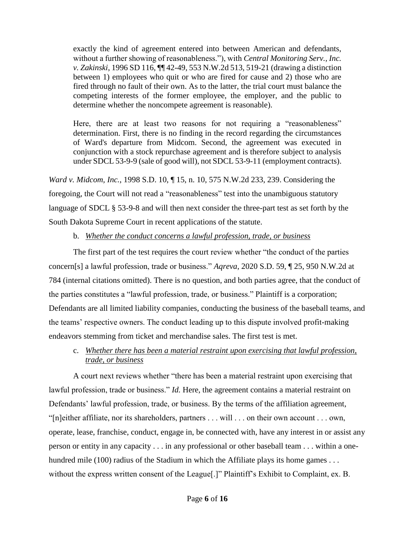exactly the kind of agreement entered into between American and defendants, without a further showing of reasonableness."), with *Central Monitoring Serv., Inc. v. Zakinski*, 1996 SD 116, ¶¶ 42-49, 553 N.W.2d 513, 519-21 (drawing a distinction between 1) employees who quit or who are fired for cause and 2) those who are fired through no fault of their own. As to the latter, the trial court must balance the competing interests of the former employee, the employer, and the public to determine whether the noncompete agreement is reasonable).

Here, there are at least two reasons for not requiring a "reasonableness" determination. First, there is no finding in the record regarding the circumstances of Ward's departure from Midcom. Second, the agreement was executed in conjunction with a stock repurchase agreement and is therefore subject to analysis under SDCL 53-9-9 (sale of good will), not SDCL 53-9-11 (employment contracts).

*Ward v. Midcom, Inc.*, 1998 S.D. 10, ¶ 15, n. 10, 575 N.W.2d 233, 239. Considering the foregoing, the Court will not read a "reasonableness" test into the unambiguous statutory language of SDCL § 53-9-8 and will then next consider the three-part test as set forth by the South Dakota Supreme Court in recent applications of the statute.

### b. *Whether the conduct concerns a lawful profession, trade, or business*

The first part of the test requires the court review whether "the conduct of the parties concern[s] a lawful profession, trade or business." *Aqreva*, 2020 S.D. 59, ¶ 25, 950 N.W.2d at 784 (internal citations omitted). There is no question, and both parties agree, that the conduct of the parties constitutes a "lawful profession, trade, or business." Plaintiff is a corporation; Defendants are all limited liability companies, conducting the business of the baseball teams, and the teams' respective owners. The conduct leading up to this dispute involved profit-making endeavors stemming from ticket and merchandise sales. The first test is met.

# c. *Whether there has been a material restraint upon exercising that lawful profession, trade, or business*

A court next reviews whether "there has been a material restraint upon exercising that lawful profession, trade or business." *Id.* Here, the agreement contains a material restraint on Defendants' lawful profession, trade, or business. By the terms of the affiliation agreement, "[n]either affiliate, nor its shareholders, partners . . . will . . . on their own account . . . own, operate, lease, franchise, conduct, engage in, be connected with, have any interest in or assist any person or entity in any capacity . . . in any professional or other baseball team . . . within a onehundred mile (100) radius of the Stadium in which the Affiliate plays its home games . . . without the express written consent of the League[.]" Plaintiff's Exhibit to Complaint, ex. B.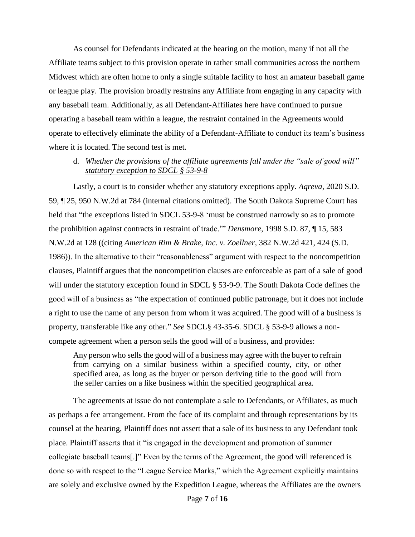As counsel for Defendants indicated at the hearing on the motion, many if not all the Affiliate teams subject to this provision operate in rather small communities across the northern Midwest which are often home to only a single suitable facility to host an amateur baseball game or league play. The provision broadly restrains any Affiliate from engaging in any capacity with any baseball team. Additionally, as all Defendant-Affiliates here have continued to pursue operating a baseball team within a league, the restraint contained in the Agreements would operate to effectively eliminate the ability of a Defendant-Affiliate to conduct its team's business where it is located. The second test is met.

### d. *Whether the provisions of the affiliate agreements fall under the "sale of good will" statutory exception to SDCL § 53-9-8*

Lastly, a court is to consider whether any statutory exceptions apply. *Aqreva*, 2020 S.D. 59, ¶ 25, 950 N.W.2d at 784 (internal citations omitted). The South Dakota Supreme Court has held that "the exceptions listed in SDCL 53-9-8 'must be construed narrowly so as to promote the prohibition against contracts in restraint of trade.'" *Densmore*, 1998 S.D. 87, ¶ 15, 583 N.W.2d at 128 ((citing *American Rim & Brake, Inc. v. Zoellner*, 382 N.W.2d 421, 424 (S.D. 1986)). In the alternative to their "reasonableness" argument with respect to the noncompetition clauses, Plaintiff argues that the noncompetition clauses are enforceable as part of a sale of good will under the statutory exception found in SDCL § 53-9-9. The South Dakota Code defines the good will of a business as "the expectation of continued public patronage, but it does not include a right to use the name of any person from whom it was acquired. The good will of a business is property, transferable like any other." *See* SDCL§ 43-35-6. SDCL § 53-9-9 allows a noncompete agreement when a person sells the good will of a business, and provides:

Any person who sells the good will of a business may agree with the buyer to refrain from carrying on a similar business within a specified county, city, or other specified area, as long as the buyer or person deriving title to the good will from the seller carries on a like business within the specified geographical area.

The agreements at issue do not contemplate a sale to Defendants, or Affiliates, as much as perhaps a fee arrangement. From the face of its complaint and through representations by its counsel at the hearing, Plaintiff does not assert that a sale of its business to any Defendant took place. Plaintiff asserts that it "is engaged in the development and promotion of summer collegiate baseball teams[.]" Even by the terms of the Agreement, the good will referenced is done so with respect to the "League Service Marks," which the Agreement explicitly maintains are solely and exclusive owned by the Expedition League, whereas the Affiliates are the owners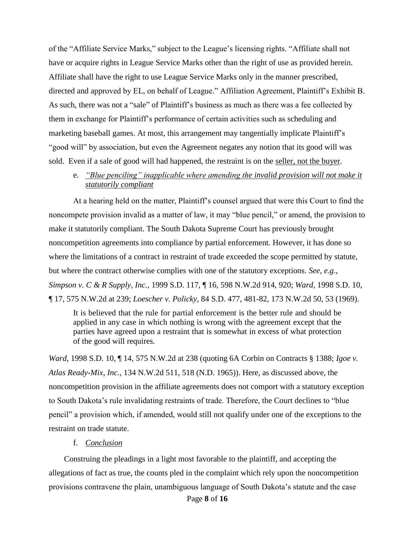of the "Affiliate Service Marks," subject to the League's licensing rights. "Affiliate shall not have or acquire rights in League Service Marks other than the right of use as provided herein. Affiliate shall have the right to use League Service Marks only in the manner prescribed, directed and approved by EL, on behalf of League." Affiliation Agreement, Plaintiff's Exhibit B. As such, there was not a "sale" of Plaintiff's business as much as there was a fee collected by them in exchange for Plaintiff's performance of certain activities such as scheduling and marketing baseball games. At most, this arrangement may tangentially implicate Plaintiff's "good will" by association, but even the Agreement negates any notion that its good will was sold. Even if a sale of good will had happened, the restraint is on the seller, not the buyer.

### e. *"Blue penciling" inapplicable where amending the invalid provision will not make it statutorily compliant*

At a hearing held on the matter, Plaintiff's counsel argued that were this Court to find the noncompete provision invalid as a matter of law, it may "blue pencil," or amend, the provision to make it statutorily compliant. The South Dakota Supreme Court has previously brought noncompetition agreements into compliance by partial enforcement. However, it has done so where the limitations of a contract in restraint of trade exceeded the scope permitted by statute, but where the contract otherwise complies with one of the statutory exceptions. *See, e.g.*, *Simpson v. C & R Supply, Inc.*, 1999 S.D. 117, ¶ 16, 598 N.W.2d 914, 920; *Ward*, 1998 S.D. 10, ¶ 17, 575 N.W.2d at 239; *Loescher v. Policky*, 84 S.D. 477, 481-82, 173 N.W.2d 50, 53 (1969).

It is believed that the rule for partial enforcement is the better rule and should be applied in any case in which nothing is wrong with the agreement except that the parties have agreed upon a restraint that is somewhat in excess of what protection of the good will requires.

*Ward*, 1998 S.D. 10, ¶ 14, 575 N.W.2d at 238 (quoting 6A Corbin on Contracts § 1388; *Igoe v. Atlas Ready-Mix, Inc.*, 134 N.W.2d 511, 518 (N.D. 1965)). Here, as discussed above, the noncompetition provision in the affiliate agreements does not comport with a statutory exception to South Dakota's rule invalidating restraints of trade. Therefore, the Court declines to "blue pencil" a provision which, if amended, would still not qualify under one of the exceptions to the restraint on trade statute.

#### f. *Conclusion*

Construing the pleadings in a light most favorable to the plaintiff, and accepting the allegations of fact as true, the counts pled in the complaint which rely upon the noncompetition provisions contravene the plain, unambiguous language of South Dakota's statute and the case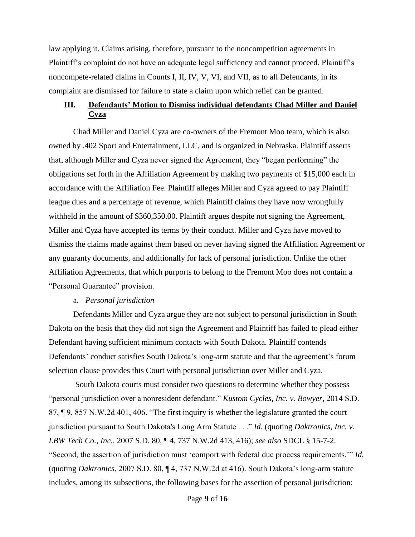law applying it. Claims arising, therefore, pursuant to the noncompetition agreements in Plaintiff's complaint do not have an adequate legal sufficiency and cannot proceed. Plaintiff's noncompete-related claims in Counts I, II, IV, V, VI, and VII, as to all Defendants, in its complaint are dismissed for failure to state a claim upon which relief can be granted.

# **III. Defendants' Motion to Dismiss individual defendants Chad Miller and Daniel Cyza**

Chad Miller and Daniel Cyza are co-owners of the Fremont Moo team, which is also owned by .402 Sport and Entertainment, LLC, and is organized in Nebraska. Plaintiff asserts that, although Miller and Cyza never signed the Agreement, they "began performing" the obligations set forth in the Affiliation Agreement by making two payments of \$15,000 each in accordance with the Affiliation Fee. Plaintiff alleges Miller and Cyza agreed to pay Plaintiff league dues and a percentage of revenue, which Plaintiff claims they have now wrongfully withheld in the amount of \$360,350.00. Plaintiff argues despite not signing the Agreement, Miller and Cyza have accepted its terms by their conduct. Miller and Cyza have moved to dismiss the claims made against them based on never having signed the Affiliation Agreement or any guaranty documents, and additionally for lack of personal jurisdiction. Unlike the other Affiliation Agreements, that which purports to belong to the Fremont Moo does not contain a "Personal Guarantee" provision.

#### a. *Personal jurisdiction*

Defendants Miller and Cyza argue they are not subject to personal jurisdiction in South Dakota on the basis that they did not sign the Agreement and Plaintiff has failed to plead either Defendant having sufficient minimum contacts with South Dakota. Plaintiff contends Defendants' conduct satisfies South Dakota's long-arm statute and that the agreement's forum selection clause provides this Court with personal jurisdiction over Miller and Cyza.

South Dakota courts must consider two questions to determine whether they possess "personal jurisdiction over a nonresident defendant." *Kustom Cycles, Inc. v. Bowyer*, 2014 S.D. 87, ¶ 9, 857 N.W.2d 401, 406. "The first inquiry is whether the legislature granted the court jurisdiction pursuant to South Dakota's Long Arm Statute . . ." *Id.* (quoting *Daktronics, Inc. v. LBW Tech Co., Inc.*, 2007 S.D. 80, ¶ 4, 737 N.W.2d 413, 416); *see also* SDCL § 15-7-2. "Second, the assertion of jurisdiction must 'comport with federal due process requirements.'" *Id.* (quoting *Daktronics*, 2007 S.D. 80, ¶ 4, 737 N.W.2d at 416). South Dakota's long-arm statute includes, among its subsections, the following bases for the assertion of personal jurisdiction: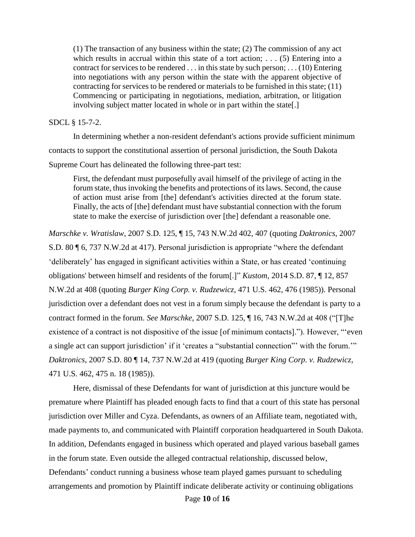(1) The transaction of any business within the state; (2) The commission of any act which results in accrual within this state of a tort action;  $\dots$  (5) Entering into a contract for services to be rendered . . . in this state by such person; . . . (10) Entering into negotiations with any person within the state with the apparent objective of contracting for services to be rendered or materials to be furnished in this state; (11) Commencing or participating in negotiations, mediation, arbitration, or litigation involving subject matter located in whole or in part within the state[.]

#### SDCL § 15-7-2.

In determining whether a non-resident defendant's actions provide sufficient minimum contacts to support the constitutional assertion of personal jurisdiction, the South Dakota Supreme Court has delineated the following three-part test:

First, the defendant must purposefully avail himself of the privilege of acting in the forum state, thus invoking the benefits and protections of its laws. Second, the cause of action must arise from [the] defendant's activities directed at the forum state. Finally, the acts of [the] defendant must have substantial connection with the forum state to make the exercise of jurisdiction over [the] defendant a reasonable one.

*Marschke v. Wratislaw*, 2007 S.D. 125, ¶ 15, 743 N.W.2d 402, 407 (quoting *Daktronics*, 2007 S.D. 80 ¶ 6, 737 N.W.2d at 417). Personal jurisdiction is appropriate "where the defendant 'deliberately' has engaged in significant activities within a State, or has created 'continuing obligations' between himself and residents of the forum[.]" *Kustom*, 2014 S.D. 87, ¶ 12, 857 N.W.2d at 408 (quoting *Burger King Corp. v. Rudzewicz*, 471 U.S. 462, 476 (1985)). Personal jurisdiction over a defendant does not vest in a forum simply because the defendant is party to a contract formed in the forum. *See Marschke*, 2007 S.D. 125, ¶ 16, 743 N.W.2d at 408 ("[T]he existence of a contract is not dispositive of the issue [of minimum contacts]."). However, "'even a single act can support jurisdiction' if it 'creates a "substantial connection"' with the forum.'" *Daktronics*, 2007 S.D. 80 ¶ 14, 737 N.W.2d at 419 (quoting *Burger King Corp. v. Rudzewicz*, 471 U.S. 462, 475 n. 18 (1985)).

Here, dismissal of these Defendants for want of jurisdiction at this juncture would be premature where Plaintiff has pleaded enough facts to find that a court of this state has personal jurisdiction over Miller and Cyza. Defendants, as owners of an Affiliate team, negotiated with, made payments to, and communicated with Plaintiff corporation headquartered in South Dakota. In addition, Defendants engaged in business which operated and played various baseball games in the forum state. Even outside the alleged contractual relationship, discussed below, Defendants' conduct running a business whose team played games pursuant to scheduling arrangements and promotion by Plaintiff indicate deliberate activity or continuing obligations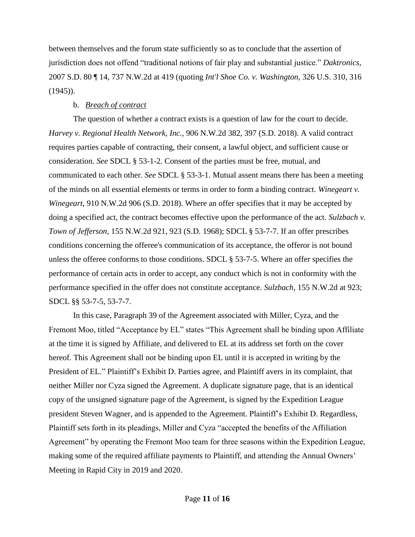between themselves and the forum state sufficiently so as to conclude that the assertion of jurisdiction does not offend "traditional notions of fair play and substantial justice." *Daktronics*, 2007 S.D. 80 ¶ 14, 737 N.W.2d at 419 (quoting *Int'l Shoe Co. v. Washington*, 326 U.S. 310, 316  $(1945)$ .

### b. *Breach of contract*

The question of whether a contract exists is a question of law for the court to decide. *Harvey v. Regional Health Network, Inc.*, 906 N.W.2d 382, 397 (S.D. 2018). A valid contract requires parties capable of contracting, their consent, a lawful object, and sufficient cause or consideration. *See* SDCL § 53-1-2. Consent of the parties must be free, mutual, and communicated to each other. *See* SDCL § 53-3-1. Mutual assent means there has been a meeting of the minds on all essential elements or terms in order to form a binding contract. *Winegeart v. Winegeart*, 910 N.W.2d 906 (S.D. 2018). Where an offer specifies that it may be accepted by doing a specified act, the contract becomes effective upon the performance of the act. *Sulzbach v. Town of Jefferson*, 155 N.W.2d 921, 923 (S.D. 1968); SDCL § 53-7-7. If an offer prescribes conditions concerning the offeree's communication of its acceptance, the offeror is not bound unless the offeree conforms to those conditions. SDCL § 53-7-5. Where an offer specifies the performance of certain acts in order to accept, any conduct which is not in conformity with the performance specified in the offer does not constitute acceptance. *Sulzbach*, 155 N.W.2d at 923; SDCL §§ 53-7-5, 53-7-7.

In this case, Paragraph 39 of the Agreement associated with Miller, Cyza, and the Fremont Moo, titled "Acceptance by EL" states "This Agreement shall be binding upon Affiliate at the time it is signed by Affiliate, and delivered to EL at its address set forth on the cover hereof. This Agreement shall not be binding upon EL until it is accepted in writing by the President of EL." Plaintiff's Exhibit D. Parties agree, and Plaintiff avers in its complaint, that neither Miller nor Cyza signed the Agreement. A duplicate signature page, that is an identical copy of the unsigned signature page of the Agreement, is signed by the Expedition League president Steven Wagner, and is appended to the Agreement. Plaintiff's Exhibit D. Regardless, Plaintiff sets forth in its pleadings, Miller and Cyza "accepted the benefits of the Affiliation Agreement" by operating the Fremont Moo team for three seasons within the Expedition League, making some of the required affiliate payments to Plaintiff, and attending the Annual Owners' Meeting in Rapid City in 2019 and 2020.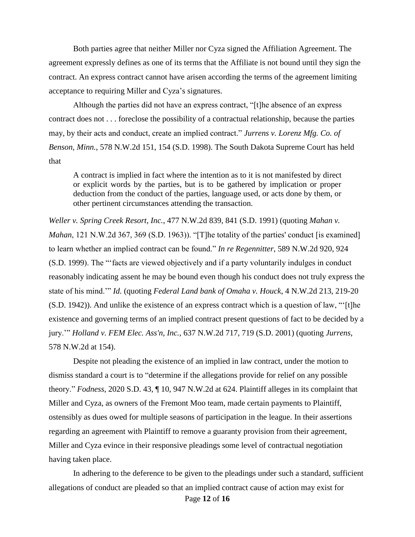Both parties agree that neither Miller nor Cyza signed the Affiliation Agreement. The agreement expressly defines as one of its terms that the Affiliate is not bound until they sign the contract. An express contract cannot have arisen according the terms of the agreement limiting acceptance to requiring Miller and Cyza's signatures.

Although the parties did not have an express contract, "[t]he absence of an express contract does not . . . foreclose the possibility of a contractual relationship, because the parties may, by their acts and conduct, create an implied contract." *Jurrens v. Lorenz Mfg. Co. of Benson, Minn.*, 578 N.W.2d 151, 154 (S.D. 1998). The South Dakota Supreme Court has held that

A contract is implied in fact where the intention as to it is not manifested by direct or explicit words by the parties, but is to be gathered by implication or proper deduction from the conduct of the parties, language used, or acts done by them, or other pertinent circumstances attending the transaction.

*Weller v. Spring Creek Resort, Inc.*, 477 N.W.2d 839, 841 (S.D. 1991) (quoting *Mahan v. Mahan*, 121 N.W.2d 367, 369 (S.D. 1963)). "[T]he totality of the parties' conduct [is examined] to learn whether an implied contract can be found." *In re Regennitter*, 589 N.W.2d 920, 924 (S.D. 1999). The "'facts are viewed objectively and if a party voluntarily indulges in conduct reasonably indicating assent he may be bound even though his conduct does not truly express the state of his mind.'" *Id.* (quoting *Federal Land bank of Omaha v. Houck*, 4 N.W.2d 213, 219-20 (S.D. 1942)). And unlike the existence of an express contract which is a question of law, "'[t]he existence and governing terms of an implied contract present questions of fact to be decided by a jury.'" *Holland v. FEM Elec. Ass'n, Inc.*, 637 N.W.2d 717, 719 (S.D. 2001) (quoting *Jurrens*, 578 N.W.2d at 154).

Despite not pleading the existence of an implied in law contract, under the motion to dismiss standard a court is to "determine if the allegations provide for relief on any possible theory." *Fodness*, 2020 S.D. 43, ¶ 10, 947 N.W.2d at 624. Plaintiff alleges in its complaint that Miller and Cyza, as owners of the Fremont Moo team, made certain payments to Plaintiff, ostensibly as dues owed for multiple seasons of participation in the league. In their assertions regarding an agreement with Plaintiff to remove a guaranty provision from their agreement, Miller and Cyza evince in their responsive pleadings some level of contractual negotiation having taken place.

Page **12** of **16** In adhering to the deference to be given to the pleadings under such a standard, sufficient allegations of conduct are pleaded so that an implied contract cause of action may exist for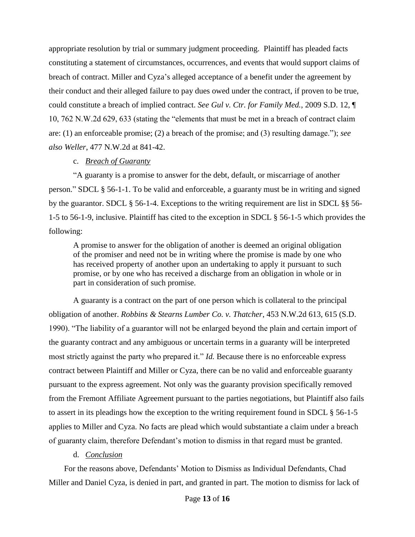appropriate resolution by trial or summary judgment proceeding. Plaintiff has pleaded facts constituting a statement of circumstances, occurrences, and events that would support claims of breach of contract. Miller and Cyza's alleged acceptance of a benefit under the agreement by their conduct and their alleged failure to pay dues owed under the contract, if proven to be true, could constitute a breach of implied contract. *See Gul v. Ctr. for Family Med.*, 2009 S.D. 12, ¶ 10, 762 N.W.2d 629, 633 (stating the "elements that must be met in a breach of contract claim are: (1) an enforceable promise; (2) a breach of the promise; and (3) resulting damage."); *see also Weller*, 477 N.W.2d at 841-42.

#### c. *Breach of Guaranty*

"A guaranty is a promise to answer for the debt, default, or miscarriage of another person." SDCL § 56-1-1. To be valid and enforceable, a guaranty must be in writing and signed by the guarantor. SDCL § 56-1-4. Exceptions to the writing requirement are list in SDCL §§ 56- 1-5 to 56-1-9, inclusive. Plaintiff has cited to the exception in SDCL § 56-1-5 which provides the following:

A promise to answer for the obligation of another is deemed an original obligation of the promiser and need not be in writing where the promise is made by one who has received property of another upon an undertaking to apply it pursuant to such promise, or by one who has received a discharge from an obligation in whole or in part in consideration of such promise.

A guaranty is a contract on the part of one person which is collateral to the principal obligation of another. *Robbins & Stearns Lumber Co. v. Thatcher*, 453 N.W.2d 613, 615 (S.D. 1990). "The liability of a guarantor will not be enlarged beyond the plain and certain import of the guaranty contract and any ambiguous or uncertain terms in a guaranty will be interpreted most strictly against the party who prepared it." *Id.* Because there is no enforceable express contract between Plaintiff and Miller or Cyza, there can be no valid and enforceable guaranty pursuant to the express agreement. Not only was the guaranty provision specifically removed from the Fremont Affiliate Agreement pursuant to the parties negotiations, but Plaintiff also fails to assert in its pleadings how the exception to the writing requirement found in SDCL § 56-1-5 applies to Miller and Cyza. No facts are plead which would substantiate a claim under a breach of guaranty claim, therefore Defendant's motion to dismiss in that regard must be granted.

### d. *Conclusion*

For the reasons above, Defendants' Motion to Dismiss as Individual Defendants, Chad Miller and Daniel Cyza, is denied in part, and granted in part. The motion to dismiss for lack of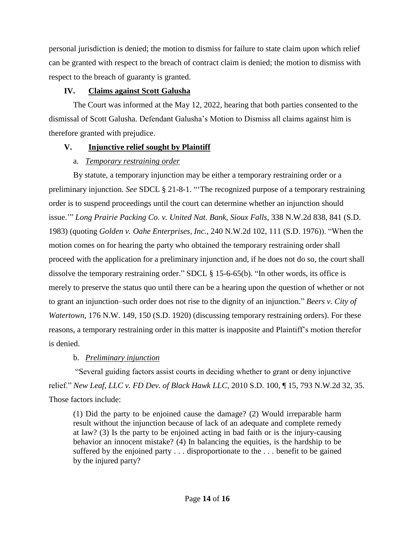personal jurisdiction is denied; the motion to dismiss for failure to state claim upon which relief can be granted with respect to the breach of contract claim is denied; the motion to dismiss with respect to the breach of guaranty is granted.

# **IV. Claims against Scott Galusha**

The Court was informed at the May 12, 2022, hearing that both parties consented to the dismissal of Scott Galusha. Defendant Galusha's Motion to Dismiss all claims against him is therefore granted with prejudice.

# **V. Injunctive relief sought by Plaintiff**

# a. *Temporary restraining order*

By statute, a temporary injunction may be either a temporary restraining order or a preliminary injunction. *See* SDCL § 21-8-1. "'The recognized purpose of a temporary restraining order is to suspend proceedings until the court can determine whether an injunction should issue.'" *Long Prairie Packing Co. v. United Nat. Bank, Sioux Falls*, 338 N.W.2d 838, 841 (S.D. 1983) (quoting *Golden v. Oahe Enterprises, Inc.*, 240 N.W.2d 102, 111 (S.D. 1976)). "When the motion comes on for hearing the party who obtained the temporary restraining order shall proceed with the application for a preliminary injunction and, if he does not do so, the court shall dissolve the temporary restraining order." SDCL § 15-6-65(b). "In other words, its office is merely to preserve the status quo until there can be a hearing upon the question of whether or not to grant an injunction–such order does not rise to the dignity of an injunction." *Beers v. City of Watertown*, 176 N.W. 149, 150 (S.D. 1920) (discussing temporary restraining orders). For these reasons, a temporary restraining order in this matter is inapposite and Plaintiff's motion therefor is denied.

# b. *Preliminary injunction*

"Several guiding factors assist courts in deciding whether to grant or deny injunctive relief." *New Leaf, LLC v. FD Dev. of Black Hawk LLC*, 2010 S.D. 100, ¶ 15, 793 N.W.2d 32, 35. Those factors include:

(1) Did the party to be enjoined cause the damage? (2) Would irreparable harm result without the injunction because of lack of an adequate and complete remedy at law? (3) Is the party to be enjoined acting in bad faith or is the injury-causing behavior an innocent mistake? (4) In balancing the equities, is the hardship to be suffered by the enjoined party . . . disproportionate to the . . . benefit to be gained by the injured party?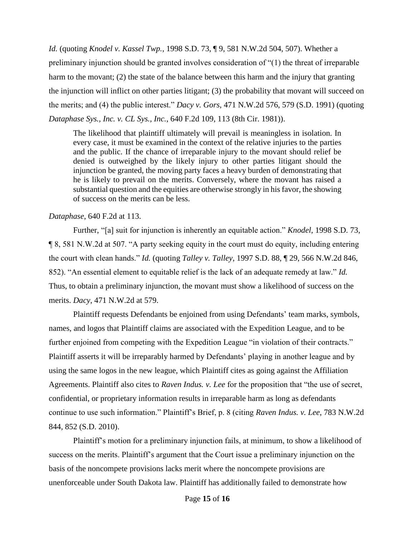*Id.* (quoting *Knodel v. Kassel Twp.*, 1998 S.D. 73, ¶ 9, 581 N.W.2d 504, 507). Whether a preliminary injunction should be granted involves consideration of "(1) the threat of irreparable harm to the movant; (2) the state of the balance between this harm and the injury that granting the injunction will inflict on other parties litigant; (3) the probability that movant will succeed on the merits; and (4) the public interest." *Dacy v. Gors*, 471 N.W.2d 576, 579 (S.D. 1991) (quoting *Dataphase Sys., Inc. v. CL Sys., Inc.*, 640 F.2d 109, 113 (8th Cir. 1981)).

The likelihood that plaintiff ultimately will prevail is meaningless in isolation. In every case, it must be examined in the context of the relative injuries to the parties and the public. If the chance of irreparable injury to the movant should relief be denied is outweighed by the likely injury to other parties litigant should the injunction be granted, the moving party faces a heavy burden of demonstrating that he is likely to prevail on the merits. Conversely, where the movant has raised a substantial question and the equities are otherwise strongly in his favor, the showing of success on the merits can be less.

#### *Dataphase*, 640 F.2d at 113.

Further, "[a] suit for injunction is inherently an equitable action." *Knodel*, 1998 S.D. 73, ¶ 8, 581 N.W.2d at 507. "A party seeking equity in the court must do equity, including entering the court with clean hands." *Id.* (quoting *Talley v. Talley*, 1997 S.D. 88, ¶ 29, 566 N.W.2d 846, 852). "An essential element to equitable relief is the lack of an adequate remedy at law." *Id.*  Thus, to obtain a preliminary injunction, the movant must show a likelihood of success on the merits. *Dacy*, 471 N.W.2d at 579.

Plaintiff requests Defendants be enjoined from using Defendants' team marks, symbols, names, and logos that Plaintiff claims are associated with the Expedition League, and to be further enjoined from competing with the Expedition League "in violation of their contracts." Plaintiff asserts it will be irreparably harmed by Defendants' playing in another league and by using the same logos in the new league, which Plaintiff cites as going against the Affiliation Agreements. Plaintiff also cites to *Raven Indus. v. Lee* for the proposition that "the use of secret, confidential, or proprietary information results in irreparable harm as long as defendants continue to use such information." Plaintiff's Brief, p. 8 (citing *Raven Indus. v. Lee*, 783 N.W.2d 844, 852 (S.D. 2010).

Plaintiff's motion for a preliminary injunction fails, at minimum, to show a likelihood of success on the merits. Plaintiff's argument that the Court issue a preliminary injunction on the basis of the noncompete provisions lacks merit where the noncompete provisions are unenforceable under South Dakota law. Plaintiff has additionally failed to demonstrate how